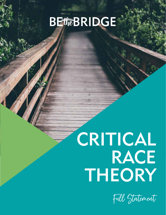# **BEtteBRIDGE**

# CRITICAL RACE THEORY

Full Statement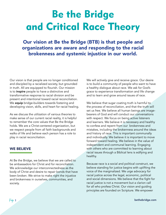# Be the Bridge and Critical Race Theory

Our vision at Be the Bridge (BTB) is that people and organizations are aware and responding to the racial brokenness and systemic injustice in our world.

Our vision is that people are no longer conditioned and discipled by a racialized society, but grounded in truth. All are equipped to flourish. Our mission is to **inspire** people to have a distinctive and transformative response to racial division and be present and intentional toward racial reconciliation. We equip bridge-builders towards fostering and developing vision, skills, and heart for racial healing.

As we discuss the utilization of various theories to make sense of our current racial reality, it is helpful to remember the core values that Be the Bridge holds. We are a Christ-centered organization, but we respect people from all faith backgrounds and walks of life and believe each person has a role to play in racial reconciliation.

#### WE BELIEVE

At Be the Bridge, we believe that we are called to be ambassadors for Christ and for reconciliation. We acknowledge our interconnectedness as the body of Christ and desire to repair bonds that have been broken. We strive to make right the injustice and brokenness in ourselves, communities, and society.

We will actively give and receive grace. Our desire is to build a community of people who want to have a healthy dialogue about race. We ask for God's grace to experience transformation and life change and to learn and grow around issues of race.

We believe that sugar coating truth is harmful to the process of reconciliation, and that the truth will set us free. We believe all human beings are imagebearers of God and will conduct our conversations with respect. We focus on being active listeners and learners. We believe it is necessary and healthy to confess and repent from our brokenness and mistakes, including the brokenness around the ideas and history of race. This is important communally and individually. We believe it is important to move forward toward healing. We believe in the value of independent and communal learning. Engaging with others who are committed to learning about racial issues through a Biblical lens is edifying and healthy.

Because race is a social and political construct, we believe standing for justice begins with uplifting the voice of the marginalized. We urge advocacy for racial justice across the legal, economic, political and social dimensions. We believe that the fight for racial justice is not a movement but a clarion call for all who profess Christ. Our vision and guiding principles are founded on Scripture. We empower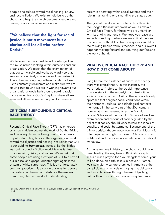people and culture toward racial healing, equity, and reconciliation. We exist to help build up the church and help the church become a leading and healing voice in racial reconciliation.

# "We believe that the fight for racial justice is not a movement but a clarion call for all who profess Christ."

We believe that bias must be acknowledged and this must include looking within ourselves and our organization. We teach that the examination of bias starts inwardly and works outwardly so that we can productively challenge and deconstruct it. This active and ongoing self-examination allows us to constantly recalibrate and make sure we are staying true to who we are in working towards our organizational goals built around seeking racial justice reflective of God's Kingdom where all are seen and all are valued equally in His presence.

#### CRITICISM SURROUNDING CRITICAL RACE THEORY

Recently, Critical Race Theory (CRT) has emerged as a new criticism against the work of Be the Bridge and racial equity and is being used in an attempt to put a stumbling block in the organization's work toward racial justice and healing. We reject that CRT is our guiding *framework*. Instead, Be the Bridge was built around a Biblical worldview as is clear in our mission, vision, and values. We regret that some people are using a critique of CRT to discredit our Biblical and gospel-oriented fight against the system of white supremacy. This is an unfortunately common practice. It is a dangerous way for people to create a red herring and distance themselves from doing the hard work of understanding how

racism is operating within social systems and their role in maintaining or dismantling the status quo.

The goal of this document is to both outline Be the Bridge's Biblical framework as well as explain Critical Race Theory for those who are unfamiliar with its origins and tenets. We hope you leave with an understanding of where we see critical theories overlapping with Biblical truths, ways we can utilize the thinking behind various theories, and our overall hope for moving forward and returning our focus to the work at hand.

### WHAT IS CRITICAL RACE THEORY AND HOW DID IT COME ABOUT?

Long before the existence of critical race theory, there was critical theory. In this instance, the word "critical" refers to the crucial importance of understanding the underlying context within society for any concept. Critical theory is a scholarly approach that analyzes social conditions within their historical, cultural, and ideological contexts. It emerged in the early part of the 20th century from what is now referred to as the Frankfurt School. Scholars of the Frankfurt School offered an examination and critique of society guided by the belief that society should work toward the ideals of equality and social betterment. Because one of the thinkers critical theory arose from was Karl Marx, it is often rejected outright by those in Christian circles as Marxist and therefore incompatible with a Biblical worldview.

At the same time in history, the church could have been leading the way toward Biblical concepts Jesus himself prayed for, "your kingdom come, your will be done, on earth as it is in heaven." Rather, we saw majority culture churches in America either complicit with or actively engaging in racial terror and anti-Blackness through the era of lynching. Rather than disciple their people away from racial

<sup>1</sup> Sensoy, Ozlem and Robin DiAngelo, Is Everyone Really Equal, Second Edition, 2017. Pg. 25 2 Ibid.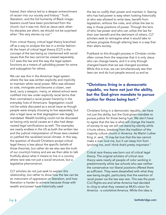hatred, their silence led to a deeper entrenchment of racism into our society and history." Truth, liberation, and the full humanity of Black imagebearers could have been proclaimed from the church, but it was not. And as Jesus said, when his disciples are silent, we should not be surprised when "the very stones cry out."

From critical theory, critical legal theory branched off as a way to analyze the law in a similar fashion. At the heart of critical legal theory (CLT) is the concept of the law being so intertwined with social issues that the two cannot be viewed separately. CLT sees the law and the way the legal system functions as a means of upholding power for some and subjugation for others.

We can see this in the American legal system where the law was written explicitly and implicitly to maintain white racial power. Who was allowed to vote, immigrate and become a citizen, own land, carry a weapon, marry, or attend school were codified into law under explicitly racial terms that then normalized a racial power hierarchy in the everyday lives of Americans. Segregation could not be solely discussed as a social issue as though people were simply choosing to live separately, but also a legal issue as that segregation was legally mandated. Wealth building could not be discussed as having only social causes as it also had deeprooted legal ramifications as well. The examples are nearly endless in the US as both the written law and the judicial interpretation of those laws created or justified the racialized social climate. In this way, the question of should Christians accept critical legal theory is less about the specific beliefs of those theorists, but rather do we also see the truth of our country's history and are we then able to talk fruitfully about what it means to live in a country where race was not just a social structure, but a legislative phenomenon.

CLT scholars do not just seek to explain this relationship, but rather to show how the law can be an instrument of oppression or liberation, and how liberation is harder to achieve because those with wealth and power have historically used

the law to codify their power and maintain it. Seeing who has had power is easy when looking historically at who was allowed to write laws, benefit from legislation, enforce the rules, and utilize the law to stay in those positions of power. Through the lens of who has power and who can utilize the law for their own benefit and the detriment of others, CLT scholars seek to reimagine what it would take to achieve progress through altering laws in a way that then alters society.

Pushback to this thought process in Christian circles often comes from the response that it is only Jesus who can change hearts, and it is only through changed hearts that we see changed societies. While this is true, we can simultaneously see that laws can and do hurt people around us and as

"Christians living in a democratic republic, we have not just the ability, but the God-given mandate to pursue justice for those being hurt."

Christians living in a democratic republic, we have not just the ability, but the God-given mandate to pursue justice for those being hurt. We don't have to agree that the law is what will change the hearts of society to say we will not stand by silently while it hurts others, breaking from the tradition of the majority culture church in America. As Martin Luther King Jr. said, "It may be true that the law cannot make a man love me, but it can keep him from lynching me, and I think that's pretty important."

Critical race theory was born out of critical legal theory. The original scholars of critical race theory were nearly all people of color working in predominantly white law schools who saw neither the conservative nor liberal positions offered there as sufficient. They were dissatisfied with what they saw being taught, particularly that the exertion of racial power via the law was rare. This was the post-Civil Rights era and white America had decided to cling to what they viewed as MLK's vision for America - a colorblind America. While this idea is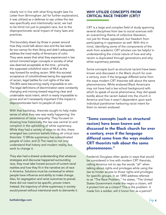clearly not in line with what King taught (see his Letter from Birmingham Jail for further explanation), it was utilized as a defense to say unless the law was specifically and intentionally racist, we had to be blind not just to people's race, but to the disproportionate racial impact of many laws and practices.

This boundary drawn by those in power around how they could talk about race and the law were far too narrow for their liking and didn't adequately address the lived reality of Americans of color. They were aware that what they experienced in law school mirrored larger concepts in society of what was deemed acceptable at the time - primarily the supposed colorblind vision of MLK as the way forward for ending racism. With this societal acceptance of colorblindness being the opposite of racism, legal battles for civil rights of the late 70's-80's were becoming nearly impossible to win. The legal definitions of discrimination were constantly changing and moving toward requiring clear and undeniable racist intent, which is nearly impossible to prove and isn't necessarily important if the impact is disproportionate harm to people of color.

With that backdrop, theorists sought to help make sense of what they saw was really happening: the persistence of racial inequality. They focused on showing how historically the law was central to and complicit in the upholding of white supremacy. While they had a variety of ways to do this, there emerged two common beliefs linking all critical race theorists: 1) White supremacy has subordinated people of color, and 2) The need to not only understand that history and modern reality, but work to change it.

They also had a shared understanding that whatever strategies and discourse happened surrounding race, they must take honest account of current racial realities and how they fit in the narrative arc of race in America. Solutions must be contextual to where people have influence and ability to make change. Also, for segregation and racist outcomes to prevail, there did not need to be specific, proven intent. Instead, the trajectory of white supremacy in society would prevail without intentional work to dismantle it.

## WHY UTILIZE CONCEPTS FROM CRITICAL RACE THEORY (CRT)?

CRT is a large and complex field of study spanning several disciplines from law to social sciences with an overarching theme of collective liberation, not just for those oppressed, but freedom from participating in oppression as well. With this in mind, identifying some of the components of the work from academic CRT scholars can be helpful in understanding the critical nature of how and why racism is duplicated through generations and why white supremacy persists.

Some concepts (such as structural racism) have been known and discussed in the Black church for over a century, even if the language differed some from the ways modern CRT theorists talk about the same phenomenons. While enslaved Black Americans may not have had a law school background with which to speak of social phenomena, they did speak boldly about the racism baked into the church in America and how it wasn't dependent upon each individual parishioner harboring racist intent for them to remain enslaved.

"Some concepts (such as structural racism) have been known and discussed in the Black church for over a century, even if the language differed some from the ways modern CRT theorists talk about the same phenomenons."

Frederick Douglass often spoke in ways that would be considered in line with modern CRT theorists. calling America not to say the words "all" when talking about rights and privileges while using the law to hinder access to those rights and privileges for specific groups. In an 1890 address referred to as "The Race Problem," he states, "The United States Government made the negro a citizen, will it protect him as a citizen? This is the problem. It made him a soldier, will it honor him as a patriot?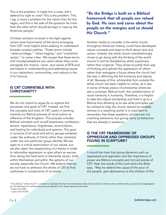This is the problem. It made him a voter, will it defend his right to vote? This is the problem. This, I say, is more a problem for the nation than for the negro, and this is the side of the question far more than the other which should be kept in view by the American people."

Christian scholars involved in the fight against racism have found some of the terms emerging from CRT most helpful when seeking to understand broader societal realities. Those terms include "white privilege," "white fragility," and "colorblind racism," to name a few. We accept that these terms and conceptualizations are useful where they come alongside the mission, vision, and values of BTB and are helpful in understanding and addressing issues in our institutions, communities, and nations in the 21st Century.

#### IS CRT COMPATIBLE WITH CHRISTIANITY?

We do not intend to argue for or against the processes and goals of CRT. Instead, we find the concepts and tools of CRT useful in working towards our Biblical process of racial justice as reflective of the Kingdom. This process includes Biblical concepts such as self-awareness, confession, lament, repentance, forgiveness, reconciliation, and healing for individuals and systems. This goal is inclusive of all racial and ethnic groups centered under the authority of Christ rather than centered under any one particular group identity. We are open to a critical examination of our values, but we also reject the weaponizing of a theory in order to rationalize oppression or give others an excuse from doing the hard work to dismantle racism, both within themselves and within the systems of our society, especially the Church. We believe that we do not have to embrace the whole of CRT to find usefulness in components of its tenets.

# "Be the Bridge is built on a Biblical framework that all people are valued by God. He sees and cares about the people on the margins and so should His Church."

Another reality to consider is the white church throughout American history, could have developed robust concepts and ways to think about race and racism. Instead, the white church overwhelmingly chose to go along with the thinking of the world around it and be discipled by white supremacy rather than scripture. They chose to justify their way of thinking and uphold the oppression of others rather than reimagine a future where the church led the way in affirming the full humanity and dignity of all. Because of this, scholarship from outside the white church has been helpful to utilize, as it was in some of those places of scholarship where we see a universal, Biblical truth: the condemnation of racial hierarchy in humanity. Therefore, it is helpful to take this robust scholarship and hold it up to a Biblical lens allowing us to see what principles can be utilized to help the church restore its credible witness to a watching world. It is important to remember that these academic scholars are not inventing behaviors, but giving name to behaviors that are already in existence.

#### IS THE CRT FRAMEWORK OF OPPRESSOR AND OPPRESSED GROUPS FOUND IN SCRIPTURE?

It should be clear that group dynamics such as oppressed and oppressor and the importance of power are Biblical concepts and not just pieces of CRT. Hear the words of the Lord when the Bible says, "May he defend the cause of the poor of the people, give deliverance to the children of the

 $^{\rm 3}$  The phrase "white church" is utilized to highlight the fact that historically white-led churches in America have intentionally pursued racial segregation by not allowing full membership and participation from those deemed not white.

<sup>4</sup> Psalm 72:4 ESV 5 Luke 4:18-19 ESV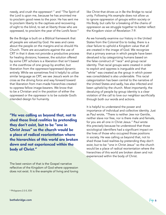needy, and crush the oppressor! " and "The Spirit of the Lord is upon me, because he has anointed me to proclaim good news to the poor. He has sent me to proclaim liberty to the captives and recovering of sight to the blind, to set at liberty those who are oppressed, to proclaim the year of the Lord's favor."

Be the Bridge is built on a Biblical framework that all people are valued by God. He sees and cares about the people on the margins and so should His Church. There are accusations against the use of CRT in that it does not provide a productive process for healing divisions; however, the solution offered by some CRT scholars is a liberation that isn't based in the overthrow of one group by another, but liberation from the oppressor/oppressed dynamic entirely. While we sometimes find it helpful to utilize similar language as CRT, we see Jesus's work on the cross as the driving force and way forward toward that liberation from man-made hierarchies created to oppress fellow image-bearers. We know that to be a Christian and in the position of either the oppressed or the oppressor is to be outside God's intended design for humanity.

"He was calling us beyond that, not to shed those lived realities by pretending they don't exist, but to be "one in Christ Jesus" so the church would be a place of radical reorientation where the hierarchies of this world are broken down and not experienced within the body of Christ."

The best version of that is the Gospel narrative reflective of the Kingdom of God where oppression does not exist. It is the example of living and loving like Christ that drives us in Be the Bridge to racial unity. Following His example does not allow us to ignore oppression of groups within society or His Body, but calls for a breaking of the chains of oppression as we struggle together to better reflect the Kingdom vision of Revelation 7:9.

As we honestly examine our history in the United States from the Colonial Era to today, there is a clear failure to uphold a Kingdom value that all are created in the image of God. We recognize that a primary avenue in which people have been devalued is by categorizing humans based on the false construct of "race" and group racial identity. That racial groups were created in order to exploit and oppress is inarguable and that "white" was created as the group in which power was consolidated is also undeniable. This racial categorization has been central to the narrative of the United States and sadly, has also infected and been upheld by the church. Most importantly, the devaluing of people by group identity is a clear violation of the call to love our neighbor sacrificially through both our words and actions.

It is helpful to understand the power and importance of individual and collective identity. Just as Paul wrote, "There is neither Jew nor Gentile, neither slave nor free, nor is there male and female, for you are all one in Christ Jesus." Paul wrote this precisely because he understood that those sociological identifiers had a significant impact on the lives of those who occupied those positions in society. He was calling us beyond that, not to shed those lived realities by pretending they don't exist, but to be "one in Christ Jesus" so the church would be a place of radical reorientation where the hierarchies of this world are broken down and not experienced within the body of Christ.

6 Philippians 2:3-5, ESV

 $\epsilon$  bethebridge.com and the comparison of the comparison of the comparison of the comparison of  $\ell$  age  $6$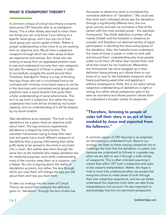#### WHAT IS STANDPOINT THEORY?

A common critique of critical race theory concerns what some CRT theorists refer to as standpoint theory. This is often falsely assumed to mean there are things you can only know if you belong to a specific racial group, and if you are not of that racial group you cannot speak of them. Rather a proper understanding is that none of us are working from an objective lens. We all have a subjective viewpoint through which we make sense of what we experience and witness. But, those who are looking at issues from an oppressed position have to see and understand not only their own viewpoint, but also the viewpoint of those in power in order to successfully navigate the world around them. Therefore, Standpoint Theory is a way of thinking that says those who are in minoritized (not to be confused with minority, minoritized means to not be in the dominant and normalized social group) social positions have a social location that gives them a fuller understanding of social phenomena. This isn't to say truth is subjective, but rather the way I understand that truth will be limited by my human capacity, and my understanding of it will be shaped by my social location.

Take dandelions as an example. The truth is that dandelions are a plant; that's an objective truth about them. The way someone experiences dandelions is shaped by many factors. The suburban homeowner trying to keep their lawn lush and green has a much different viewpoint of dandelions than a young child seeing their white puffs ready to be spread to the wind or encircled into a crown. But neither sees them through the same lens as the herbalist who makes dandelion tea for medicinal purposes, even while understanding most of the country views them as a nuisance, not a helper. No one is arguing about the reality of dandelions as plants, but rather, the lens through which you view them will change the way you talk about them and how you treat them.

To take our analogy into the realm of Critical Theory, we would then evaluate the definition given to "dandelion" through the lens of who has the power to determine what is considered the normative definition of "dandelion." We could see that while each individual above saw the dandelion through a significantly different lens, the one given priority and seen as normative is that of the person with the most societal power - the suburban homeowner. The child's definition is written off as merely childish and the herbalist is viewed as an outsider and therefore not deemed worthy of equal participation in deciding the value and purpose of the dandelion. Also, the herbalist must understand the views of those in power in order to work with and around them; understanding why most people prefer to kill them off rather than harvest them and what that means for her livelihood. Meanwhile, the homeowner has value wrapped up in their definition being primary as it allows them to not know of or care for the herbalist's viewpoint while freely purchasing weed killer and applying it without consequence. Note, this is not about whose subjective understanding of dandelions is right or wrong, but rather whose perspective gets to be seen as normative and whose position allows them to understand a broader variety of viewpoints.

"Therefore, listening to people of color tell their story is an act of love modeled by Jesus and expected from his followers."

A common aspect of CRT theorists is an emphasis on storytelling to understand truth. Back to our analogy, we listen to these varying viewpoints not to challenge the truth that the dandelion is a plant, but because we understand its fullness in a greater way when we are able to see it through a wide variety of viewpoints. This is often criticized assuming it means that within CRT truth is subjective and open to the viewer's interpretation. Rather, the hope is truth is more fully understood when we accept that everyone comes to make sense of truth through their own subjective experience, and we can better understand the objective truth when we take those interpretations into account. It's also important to acknowledge that the non-dominant perspective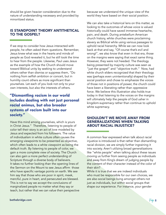should be given heavier consideration due to the nature of understanding necessary and provided by minoritized status.

#### IS STANDPOINT THEORY ANTITHETICAL TO THE GOSPEL?

If we stop to consider how Jesus interacted with people, he often asked them questions. Remember, Jesus knew what was in the hearts and minds of people as God revealed it, but he still took the time to hear from the people. Likewise, Paul uses Jesus as the example of how the Church should move toward Biblical unity by seeking to understand others rather than dismiss or suppress them, "Do nothing from selfish ambition or conceit, but in humility count others as more significant than yourselves. Let each of you look not only to your own interests, but also the interests of others.

# "Dismantling racism in our world includes dealing with not just personal racial animus, but also broader systems of racism built into our society."

Have this mind among yourselves, which is yours in Christ Jesus." Therefore, listening to people of color tell their story is an act of love modeled by Jesus and expected from his followers. The value of individualism in white culture often causes the emerging viewpoints to be presented as objective, which often leads to a white viewpoint as being the default truth. By listening to people of color, we gain a more complete view of society. The Church can also gain a more perfect understanding of Scripture through a diverse body of believers. It takes no further looking than the opening lines of the Sermon on the Mount to see Jesus affirm those who have specific vantage points on earth. We see him say that those who are poor in spirit, meek, merciful, pure in heart, and persecuted are blessed. This is not to say we accept the conclusions of marginalized people no matter what they say or teach, but rather that we can value their perspective because we understand the unique view of the world they have based on their social position.

We can also take a historical lens on this matter, as looking to the outcomes of whose voice is valued historically could have saved immense heartache, pain, and death. During antebellum American church history, white churches were proclaiming slavery as Biblical while using various passages to uphold racial hierarchy. While we can now look back at that and say, "Of course that's evil and wrong!", we also know that even in that era, those on the margins were saying that exact same thing. However, they were not heeded. The theology being presented by majority culture was seen as "just the gospel" and "objective truth." Now, had white church elders recognized that their theology was (perhaps even unintentionally) shaped by their social position and chose to emphasize the voices of those not in positions of power, the church could have been a liberating rather than oppressive force. We believe this illustration also holds true today in that listening to the voices on the margins will ultimately help the people of God usher in kingdom-supremacy rather than continue to uphold white supremacy.

#### SHOULDN'T WE MOVE AWAY FROM GENERALIZATIONS WHEN TALKING ABOUT RACIAL INJUSTICE?

A common fear expressed when talk about racial injustice is introduced is that rather than dismantling racial division, we are simply further ingraining it into society. Aren't utilizing broad generalizations like "white people" when talking about these issues moving us further from seeing people as individuals and away from King's dream of judging people by the content of their character instead of the color of their skin?

While it is true that we are indeed individuals who must be responsible for our own choices, we are also social beings living amongst others not just as individuals, but within social groups that shape our experience. For instance, your gender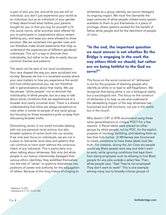is part of who you are, and while you are still an individual, you don't just experience your world as an individual, but as an individual of your gender. It likely determined what clothes your parents bought for you or that you buy for yourself to fit into social norms, what activities were offered for you to participate in, expectations about careers befitting you, and ways you were allowed to show emotion. We are socialized into gender roles and can therefore make broad statements that help us understand the experiences of different gendered individuals. This isn't a way to diminish their individuality, but rather to be able to easily discuss common themes and patterns.

The same can be said of our racial socialization. Your race shaped the way you were socialized into society. Because we live in a racialized society where your race matters to how you experience the world and how others perceive you, we can therefore talk in generalizations about that reality. We use the phrase "white people" not to diminish the individuality of white people, but as a way to talk about social conditions that are experienced at a broader and nearly universal level. There is a shared understanding that there are always exceptions to rules when it comes to people of any racial group, but focusing on those exceptions pulls us away from discussing broader truths.

Dismantling racism in our world includes dealing with not just personal racial animus, but also broader systems of racism built into our society. If we only ever focus on individuals, we are not in a place to dismantle racist laws and systems that can continue to harm even without the conscious intent of any individual. This is particularly true when talking about whiteness. Not only did white people in our history intentionally disregard their various ethnic identities, they solidified themselves into the title of "white" to enshrine themselves into positions of power and authority for the subjugation of others. Because of this long history of clinging to

whiteness as a group identity, we cannot disregard its ongoing impact. We must first dismantle the ways centuries of white people utilized every system available to them to put themselves in a place of privilege; where systems worked for the benefit of fellow white people and for the detriment of people of color.

"In the end, the important question we must answer is not whether Be the Bridge is engaging in the work the way others think we should, but rather are we being faithful to the God we serve?"

This focus on the social construct of "whiteness" is not for the purpose of shaming people who identify as white or to lead to self-flagellation. We recognize that being white is not a biological reality, but a sociological one. This focus on the construct of whiteness is to help us see and understand the devastating impact of the way whiteness has functioned and still functions, not just in the world, but in the church.

Why doesn't CRT or BTB recommend using those same generalizations to critique POC? For a few reasons: 1) Racial labels were placed on other groups by white people, not by POC, for the explicit purpose of insulting, belittling, and labeling them as less than fully human. 2) Whiteness also functioned to create conditions to have these labels look like truth. For instance, during the Jim Crow era people would say Black people were lazy and didn't want to work, while ignoring conditions that kept them from being employed, such as refusing to hire Black people for any jobs outside a select few. Then, white people said, "See! They're not employed! They don't want to work!" This is one example among many, but to broadly criticize groups of

7 Matthew 7:5 ESV 8 Ephesians 4:11-13, 15-16, NIV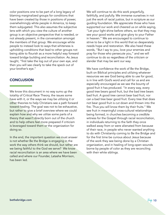color positions one to be part of a long legacy of blaming marginalized groups for conditions that have been created by those in positions of power, overwhelmingly white people in America, to keep them subjugated. This also assumes the subjective lens with which you view the culture of another group is an objective perspective that is needed, or not already present, in the conversation amongst the members of that group. We encourage white people to instead look to ways that whiteness is upholding conditions that lead to other groups not being able to flourish as a more helpful way forward toward bridge building and reconciliation. As Jesus taught, "first take the log out of your own eye, and then you will see clearly to take the speck out of your brother's eye."

#### **CONCLUSION**

We know this document in no way sums up the totality of Critical Race Theory, the issues some have with it, or the ways we may be utilizing it or other theories to help Christians see a path forward toward healing. The goal was not to be exhaustive, but rather to give a brief overview where we could explain how and why we utilize some parts of a theory that wasn't directly born out of the church and to help others feel more prepared if criticism is leveraged toward them or the organization for doing so.

In the end, the important question we must answer is not whether Be the Bridge is engaging in the work the way others think we should, but rather are we being faithful to the God we serve? We know racial reconciliation is an area where we have been called and where our Founder, Latasha Morrison, has been led.

We will continue to do this work prayerfully, faithfully, and joyfully. We immerse ourselves in not just the work of racial justice, but in scripture as our guiding foundation. We appreciate those who have supported our work and cheered us on while saying, "Let your light shine before others, so that they may see your good works and give glory to your Father in heaven." We are encouraged to continue to strive to be a light in this world that so desperately needs hope and restoration. We also heed these words, "But I say to you, love your enemies and pray for those who persecute you," and we will continue to do so regardless of the criticism or slander that may be sent our way.

We have confidence the work of Be the Bridge, built on Biblical principles and utilizing whatever resources we see God being able to use for good, is in line with God's word and call for us and are especially encouraged as we see the bounty of good fruit it has produced. "In every way, every good tree bears good fruit, but the bad tree bears bad fruit. A good tree cannot bear bad fruit, nor can a bad tree bear good fruit. Every tree that does not bear good fruit is cut down and thrown into the fire. Thus you will know them by their fruits." We see fruit in meaningful cross-cultural relationships being formed, in churches becoming a credible witness for the Gospel through racial reconciliation, in individuals returning to the faith they once walked away from or were alienated from because of their race, in people who never wanted anything to do with Christianity coming to Be the Bridge and for the first time be curious about Jesus because of the work they see being done by a Christian organization, and in healing of long-open wounds borne by people of color as they are reconciling with their white siblings.